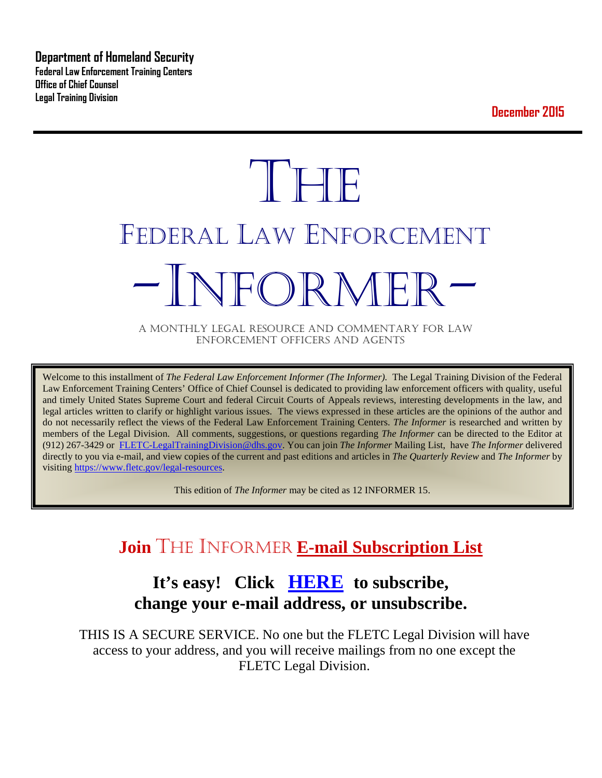**Department of Homeland Security Federal Law Enforcement Training Centers Office of Chief Counsel Legal Training Division** 

**December 2015**

# **THE** FEDERAL LAW ENFORCEMENT -INFORMER- A MONTHLY LEGAL RESOURCE AND COMMENTARY FOR LAW

ENFORCEMENT OFFICERS AND AGENTS

Welcome to this installment of *The Federal Law Enforcement Informer (The Informer).* The Legal Training Division of the Federal Law Enforcement Training Centers' Office of Chief Counsel is dedicated to providing law enforcement officers with quality, useful and timely United States Supreme Court and federal Circuit Courts of Appeals reviews, interesting developments in the law, and legal articles written to clarify or highlight various issues. The views expressed in these articles are the opinions of the author and do not necessarily reflect the views of the Federal Law Enforcement Training Centers. *The Informer* is researched and written by members of the Legal Division. All comments, suggestions, or questions regarding *The Informer* can be directed to the Editor at (912) 267-3429 or [FLETC-LegalTrainingDivision@dhs.gov.](mailto:FLETC-LegalTrainingDivision@dhs.gov) You can join *The Informer* Mailing List, have *The Informer* delivered directly to you via e-mail, and view copies of the current and past editions and articles in *The Quarterly Review* and *The Informer* by visiting [https://www.fletc.gov/legal-resources.](https://www.fletc.gov/legal-resources) 

This edition of *The Informer* may be cited as 12 INFORMER 15.

## **Join** THE INFORMER **E-mail Subscription List**

## **It's easy! Click [HERE](http://peach.ease.lsoft.com/scripts/wa.exe?SUBED1=fletclgd&A=1) to subscribe, change your e-mail address, or unsubscribe.**

THIS IS A SECURE SERVICE. No one but the FLETC Legal Division will have access to your address, and you will receive mailings from no one except the FLETC Legal Division.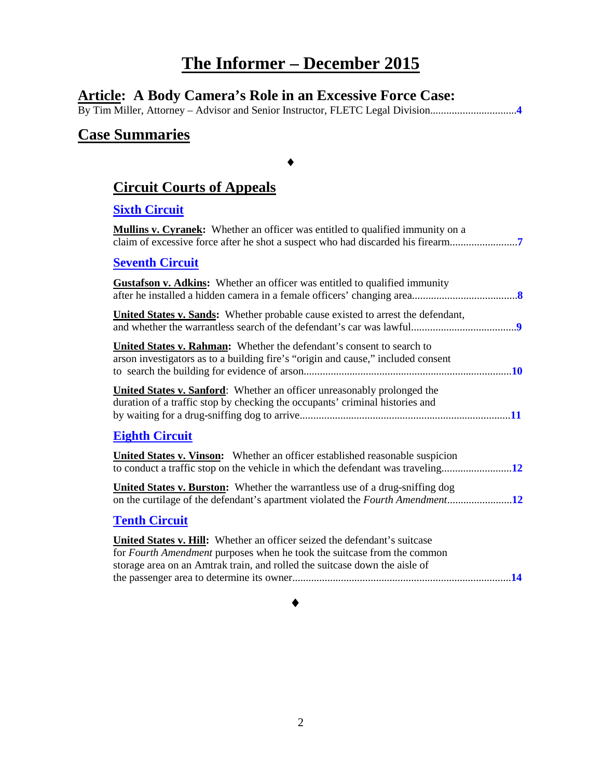## **The Informer – December 2015**

## **Article: A Body Camera's Role in an Excessive Force Case:**

By Tim Miller, Attorney – Advisor and Senior Instructor, FLETC Legal Division................................**[4](#page-3-0)**

### **Case Summaries**

## **[Circuit Courts of Appeals](#page-6-0)**

♦

#### **Sixth [Circuit](#page-6-1)**

**Mullins v. Cyranek:** Whether an officer was entitled to qualified immunity on a claim of excessive force after he shot a suspect who had discarded his firearm.........................**[7](#page-6-2)**

#### **[Seventh Circuit](#page-7-0)**

| <b>Gustafson v. Adkins:</b> Whether an officer was entitled to qualified immunity                                                                                                                                                         |
|-------------------------------------------------------------------------------------------------------------------------------------------------------------------------------------------------------------------------------------------|
| <b>United States v. Sands:</b> Whether probable cause existed to arrest the defendant,                                                                                                                                                    |
| United States v. Rahman: Whether the defendant's consent to search to<br>arson investigators as to a building fire's "origin and cause," included consent                                                                                 |
| <b>United States v. Sanford:</b> Whether an officer unreasonably prolonged the<br>duration of a traffic stop by checking the occupants' criminal histories and                                                                            |
| <b>Eighth Circuit</b>                                                                                                                                                                                                                     |
| <b>United States v. Vinson:</b> Whether an officer established reasonable suspicion                                                                                                                                                       |
| United States v. Burston: Whether the warrantless use of a drug-sniffing dog                                                                                                                                                              |
| <b>Tenth Circuit</b>                                                                                                                                                                                                                      |
| United States v. Hill: Whether an officer seized the defendant's suitcase<br>for <i>Fourth Amendment</i> purposes when he took the suitcase from the common<br>storage area on an Amtrak train, and rolled the suitcase down the aisle of |

#### ♦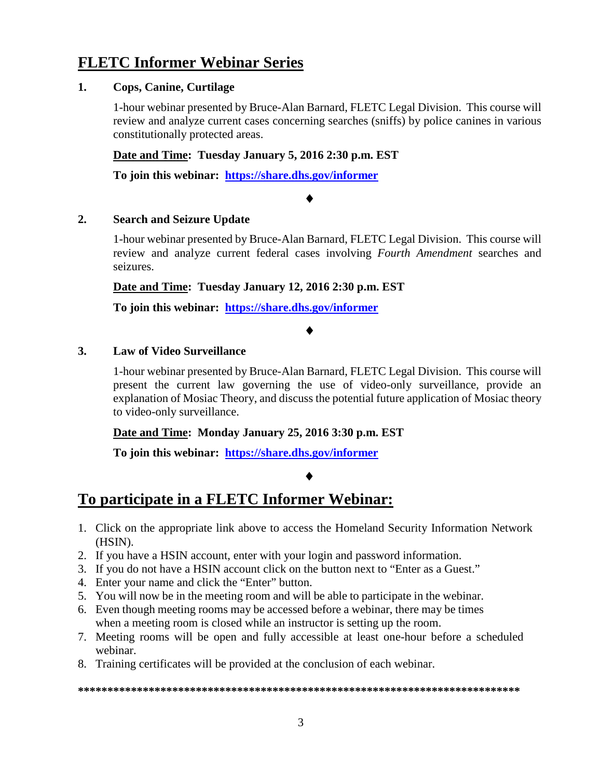## **FLETC Informer Webinar Series**

#### **1. Cops, Canine, Curtilage**

1-hour webinar presented by Bruce-Alan Barnard, FLETC Legal Division. This course will review and analyze current cases concerning searches (sniffs) by police canines in various constitutionally protected areas.

**Date and Time: Tuesday January 5, 2016 2:30 p.m. EST**

**To join this webinar: <https://share.dhs.gov/informer>**

#### ♦

#### **2. Search and Seizure Update**

1-hour webinar presented by Bruce-Alan Barnard, FLETC Legal Division. This course will review and analyze current federal cases involving *Fourth Amendment* searches and seizures.

**Date and Time: Tuesday January 12, 2016 2:30 p.m. EST**

**To join this webinar: <https://share.dhs.gov/informer>**

#### ♦

#### **3. Law of Video Surveillance**

1-hour webinar presented by Bruce-Alan Barnard, FLETC Legal Division. This course will present the current law governing the use of video-only surveillance, provide an explanation of Mosiac Theory, and discuss the potential future application of Mosiac theory to video-only surveillance.

**Date and Time: Monday January 25, 2016 3:30 p.m. EST**

**To join this webinar: <https://share.dhs.gov/informer>**

#### ♦

## **To participate in a FLETC Informer Webinar:**

- 1. Click on the appropriate link above to access the Homeland Security Information Network (HSIN).
- 2. If you have a HSIN account, enter with your login and password information.
- 3. If you do not have a HSIN account click on the button next to "Enter as a Guest."
- 4. Enter your name and click the "Enter" button.
- 5. You will now be in the meeting room and will be able to participate in the webinar.
- 6. Even though meeting rooms may be accessed before a webinar, there may be times when a meeting room is closed while an instructor is setting up the room.
- 7. Meeting rooms will be open and fully accessible at least one-hour before a scheduled webinar.
- 8. Training certificates will be provided at the conclusion of each webinar.

#### **\*\*\*\*\*\*\*\*\*\*\*\*\*\*\*\*\*\*\*\*\*\*\*\*\*\*\*\*\*\*\*\*\*\*\*\*\*\*\*\*\*\*\*\*\*\*\*\*\*\*\*\*\*\*\*\*\*\*\*\*\*\*\*\*\*\*\*\*\*\*\*\*\*\*\***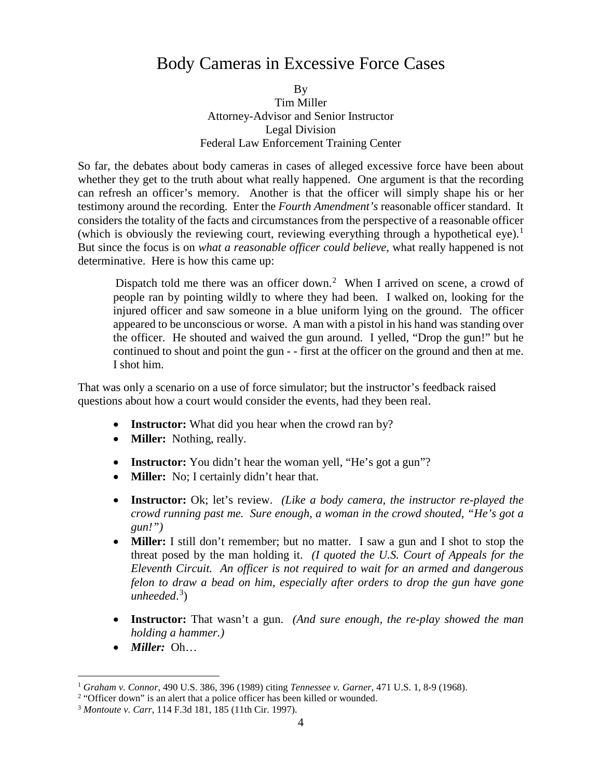## <span id="page-3-0"></span>Body Cameras in Excessive Force Cases

By Tim Miller Attorney-Advisor and Senior Instructor Legal Division Federal Law Enforcement Training Center

So far, the debates about body cameras in cases of alleged excessive force have been about whether they get to the truth about what really happened. One argument is that the recording can refresh an officer's memory. Another is that the officer will simply shape his or her testimony around the recording. Enter the *Fourth Amendment's* reasonable officer standard. It considers the totality of the facts and circumstances from the perspective of a reasonable officer (which is obviously the reviewing court, reviewing everything through a hypothetical eye).<sup>[1](#page-3-1)</sup> But since the focus is on *what a reasonable officer could believe*, what really happened is not determinative. Here is how this came up:

Dispatch told me there was an officer down.<sup>[2](#page-3-2)</sup> When I arrived on scene, a crowd of people ran by pointing wildly to where they had been. I walked on, looking for the injured officer and saw someone in a blue uniform lying on the ground. The officer appeared to be unconscious or worse. A man with a pistol in his hand was standing over the officer. He shouted and waived the gun around. I yelled, "Drop the gun!" but he continued to shout and point the gun - - first at the officer on the ground and then at me. I shot him.

That was only a scenario on a use of force simulator; but the instructor's feedback raised questions about how a court would consider the events, had they been real.

- **Instructor:** What did you hear when the crowd ran by?
- **Miller:** Nothing, really.
- **Instructor:** You didn't hear the woman yell, "He's got a gun"?
- **Miller:** No: I certainly didn't hear that.
- **Instructor:** Ok; let's review. *(Like a body camera, the instructor re-played the crowd running past me. Sure enough, a woman in the crowd shouted, "He's got a gun!")*
- **Miller:** I still don't remember; but no matter. I saw a gun and I shot to stop the threat posed by the man holding it. *(I quoted the U.S. Court of Appeals for the Eleventh Circuit. An officer is not required to wait for an armed and dangerous felon to draw a bead on him, especially after orders to drop the gun have gone unheeded*. [3](#page-3-3) )
- **Instructor:** That wasn't a gun. *(And sure enough, the re-play showed the man holding a hammer.)*
- *Miller:* Oh…

<span id="page-3-1"></span> <sup>1</sup> *Graham v. Connor*, 490 U.S. 386, 396 (1989) citing *Tennessee v. Garner*, 471 U.S. 1, 8-9 (1968).

<span id="page-3-2"></span><sup>&</sup>lt;sup>2</sup> "Officer down" is an alert that a police officer has been killed or wounded.

<span id="page-3-3"></span><sup>3</sup> *Montoute v. Carr*, 114 F.3d 181, 185 (11th Cir. 1997).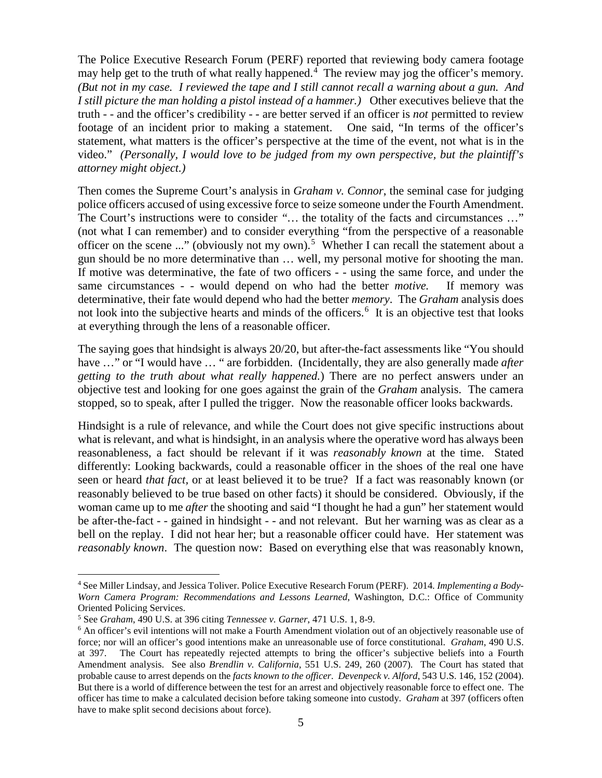The Police Executive Research Forum (PERF) reported that reviewing body camera footage may help get to the truth of what really happened.<sup>[4](#page-4-0)</sup> The review may jog the officer's memory. *(But not in my case. I reviewed the tape and I still cannot recall a warning about a gun. And I still picture the man holding a pistol instead of a hammer.)* Other executives believe that the truth - - and the officer's credibility - - are better served if an officer is *not* permitted to review footage of an incident prior to making a statement. One said, "In terms of the officer's statement, what matters is the officer's perspective at the time of the event, not what is in the video." *(Personally, I would love to be judged from my own perspective, but the plaintiff's attorney might object.)*

Then comes the Supreme Court's analysis in *Graham v. Connor*, the seminal case for judging police officers accused of using excessive force to seize someone under the Fourth Amendment. The Court's instructions were to consider "... the totality of the facts and circumstances ..." (not what I can remember) and to consider everything "from the perspective of a reasonable officer on the scene ..." (obviously not my own).<sup>[5](#page-4-1)</sup> Whether I can recall the statement about a gun should be no more determinative than … well, my personal motive for shooting the man. If motive was determinative, the fate of two officers - - using the same force, and under the same circumstances - - would depend on who had the better *motive.* If memory was determinative, their fate would depend who had the better *memory*. The *Graham* analysis does not look into the subjective hearts and minds of the officers.<sup>[6](#page-4-2)</sup> It is an objective test that looks at everything through the lens of a reasonable officer.

The saying goes that hindsight is always 20/20, but after-the-fact assessments like "You should have …" or "I would have … " are forbidden. (Incidentally, they are also generally made *after getting to the truth about what really happened.*) There are no perfect answers under an objective test and looking for one goes against the grain of the *Graham* analysis. The camera stopped, so to speak, after I pulled the trigger. Now the reasonable officer looks backwards.

Hindsight is a rule of relevance, and while the Court does not give specific instructions about what is relevant, and what is hindsight, in an analysis where the operative word has always been reasonableness, a fact should be relevant if it was *reasonably known* at the time. Stated differently: Looking backwards, could a reasonable officer in the shoes of the real one have seen or heard *that fact,* or at least believed it to be true? If a fact was reasonably known (or reasonably believed to be true based on other facts) it should be considered. Obviously, if the woman came up to me *after* the shooting and said "I thought he had a gun" her statement would be after-the-fact - - gained in hindsight - - and not relevant. But her warning was as clear as a bell on the replay. I did not hear her; but a reasonable officer could have. Her statement was *reasonably known*. The question now: Based on everything else that was reasonably known,

<span id="page-4-0"></span> <sup>4</sup> See Miller Lindsay, and Jessica Toliver. Police Executive Research Forum (PERF). 2014*. Implementing a Body-Worn Camera Program: Recommendations and Lessons Learned*, Washington, D.C.: Office of Community Oriented Policing Services.

<span id="page-4-1"></span><sup>5</sup> See *Graham*, 490 U.S. at 396 citing *Tennessee v. Garner*, 471 U.S. 1, 8-9.

<span id="page-4-2"></span><sup>&</sup>lt;sup>6</sup> An officer's evil intentions will not make a Fourth Amendment violation out of an objectively reasonable use of force; nor will an officer's good intentions make an unreasonable use of force constitutional. *Graham*, 490 U.S. at 397. The Court has repeatedly rejected attempts to bring the officer's subjective beliefs into a Fourth Amendment analysis. See also *Brendlin v. California*, 551 U.S. 249, 260 (2007). The Court has stated that probable cause to arrest depends on the *facts known to the officer*. *Devenpeck v. Alford*, 543 U.S. 146, 152 (2004). But there is a world of difference between the test for an arrest and objectively reasonable force to effect one. The officer has time to make a calculated decision before taking someone into custody. *Graham* at 397 (officers often have to make split second decisions about force).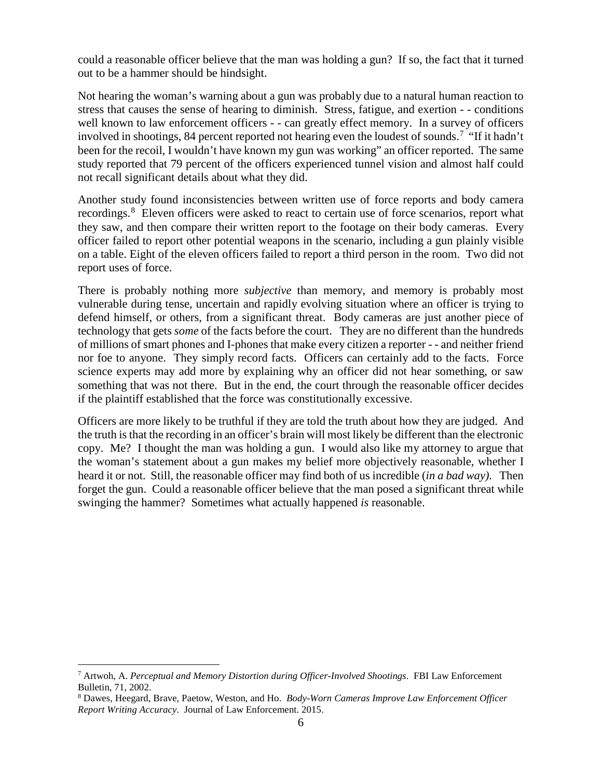could a reasonable officer believe that the man was holding a gun? If so, the fact that it turned out to be a hammer should be hindsight.

Not hearing the woman's warning about a gun was probably due to a natural human reaction to stress that causes the sense of hearing to diminish. Stress, fatigue, and exertion - - conditions well known to law enforcement officers - - can greatly effect memory. In a survey of officers involved in shootings, 84 percent reported not hearing even the loudest of sounds.<sup>[7](#page-5-0)</sup> "If it hadn't been for the recoil, I wouldn't have known my gun was working" an officer reported. The same study reported that 79 percent of the officers experienced tunnel vision and almost half could not recall significant details about what they did.

Another study found inconsistencies between written use of force reports and body camera recordings.<sup>[8](#page-5-1)</sup> Eleven officers were asked to react to certain use of force scenarios, report what they saw, and then compare their written report to the footage on their body cameras. Every officer failed to report other potential weapons in the scenario, including a gun plainly visible on a table. Eight of the eleven officers failed to report a third person in the room. Two did not report uses of force.

There is probably nothing more *subjective* than memory, and memory is probably most vulnerable during tense, uncertain and rapidly evolving situation where an officer is trying to defend himself, or others, from a significant threat. Body cameras are just another piece of technology that gets *some* of the facts before the court. They are no different than the hundreds of millions of smart phones and I-phones that make every citizen a reporter - - and neither friend nor foe to anyone. They simply record facts. Officers can certainly add to the facts. Force science experts may add more by explaining why an officer did not hear something, or saw something that was not there. But in the end, the court through the reasonable officer decides if the plaintiff established that the force was constitutionally excessive.

Officers are more likely to be truthful if they are told the truth about how they are judged. And the truth is that the recording in an officer's brain will most likely be different than the electronic copy. Me? I thought the man was holding a gun. I would also like my attorney to argue that the woman's statement about a gun makes my belief more objectively reasonable, whether I heard it or not. Still, the reasonable officer may find both of us incredible (*in a bad way)*. Then forget the gun. Could a reasonable officer believe that the man posed a significant threat while swinging the hammer? Sometimes what actually happened *is* reasonable.

<span id="page-5-0"></span> <sup>7</sup> Artwoh, A. *Perceptual and Memory Distortion during Officer-Involved Shootings*. FBI Law Enforcement Bulletin, 71, 2002.

<span id="page-5-1"></span><sup>8</sup> Dawes, Heegard, Brave, Paetow, Weston, and Ho. *Body-Worn Cameras Improve Law Enforcement Officer Report Writing Accuracy*. Journal of Law Enforcement. 2015.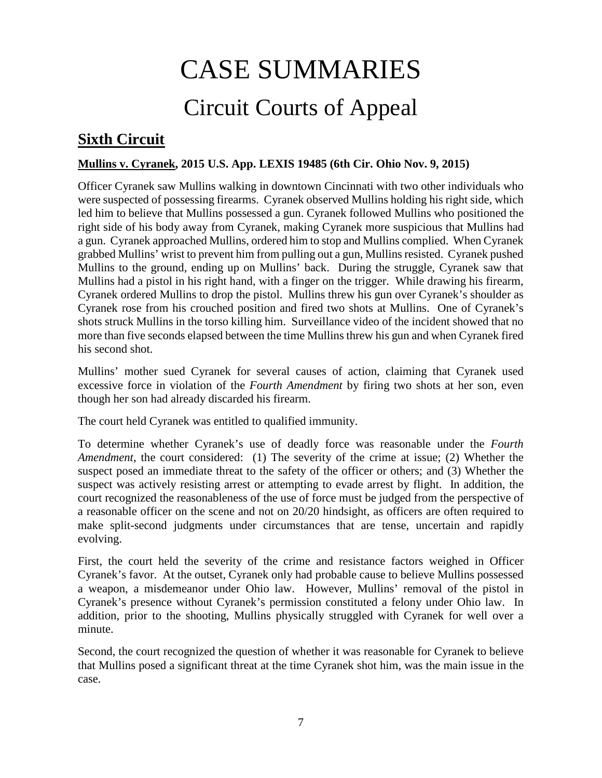## CASE SUMMARIES Circuit Courts of Appeal

## <span id="page-6-1"></span><span id="page-6-0"></span>**Sixth Circuit**

#### <span id="page-6-2"></span>**Mullins v. Cyranek, 2015 U.S. App. LEXIS 19485 (6th Cir. Ohio Nov. 9, 2015)**

Officer Cyranek saw Mullins walking in downtown Cincinnati with two other individuals who were suspected of possessing firearms. Cyranek observed Mullins holding his right side, which led him to believe that Mullins possessed a gun. Cyranek followed Mullins who positioned the right side of his body away from Cyranek, making Cyranek more suspicious that Mullins had a gun. Cyranek approached Mullins, ordered him to stop and Mullins complied. When Cyranek grabbed Mullins' wrist to prevent him from pulling out a gun, Mullins resisted. Cyranek pushed Mullins to the ground, ending up on Mullins' back. During the struggle, Cyranek saw that Mullins had a pistol in his right hand, with a finger on the trigger. While drawing his firearm, Cyranek ordered Mullins to drop the pistol. Mullins threw his gun over Cyranek's shoulder as Cyranek rose from his crouched position and fired two shots at Mullins. One of Cyranek's shots struck Mullins in the torso killing him. Surveillance video of the incident showed that no more than five seconds elapsed between the time Mullins threw his gun and when Cyranek fired his second shot.

Mullins' mother sued Cyranek for several causes of action, claiming that Cyranek used excessive force in violation of the *Fourth Amendment* by firing two shots at her son, even though her son had already discarded his firearm.

The court held Cyranek was entitled to qualified immunity.

To determine whether Cyranek's use of deadly force was reasonable under the *Fourth Amendment*, the court considered: (1) The severity of the crime at issue; (2) Whether the suspect posed an immediate threat to the safety of the officer or others; and (3) Whether the suspect was actively resisting arrest or attempting to evade arrest by flight. In addition, the court recognized the reasonableness of the use of force must be judged from the perspective of a reasonable officer on the scene and not on 20/20 hindsight, as officers are often required to make split-second judgments under circumstances that are tense, uncertain and rapidly evolving.

First, the court held the severity of the crime and resistance factors weighed in Officer Cyranek's favor. At the outset, Cyranek only had probable cause to believe Mullins possessed a weapon, a misdemeanor under Ohio law. However, Mullins' removal of the pistol in Cyranek's presence without Cyranek's permission constituted a felony under Ohio law. In addition, prior to the shooting, Mullins physically struggled with Cyranek for well over a minute.

Second, the court recognized the question of whether it was reasonable for Cyranek to believe that Mullins posed a significant threat at the time Cyranek shot him, was the main issue in the case.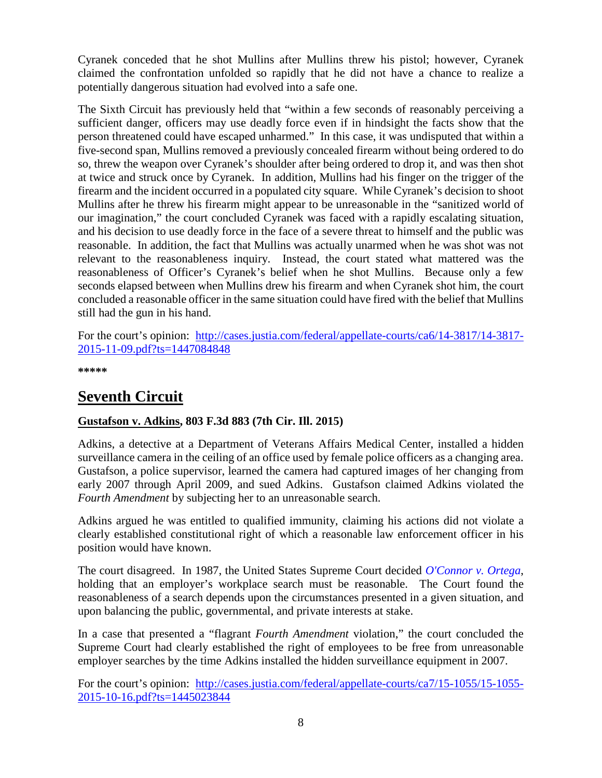Cyranek conceded that he shot Mullins after Mullins threw his pistol; however, Cyranek claimed the confrontation unfolded so rapidly that he did not have a chance to realize a potentially dangerous situation had evolved into a safe one.

The Sixth Circuit has previously held that "within a few seconds of reasonably perceiving a sufficient danger, officers may use deadly force even if in hindsight the facts show that the person threatened could have escaped unharmed." In this case, it was undisputed that within a five-second span, Mullins removed a previously concealed firearm without being ordered to do so, threw the weapon over Cyranek's shoulder after being ordered to drop it, and was then shot at twice and struck once by Cyranek. In addition, Mullins had his finger on the trigger of the firearm and the incident occurred in a populated city square. While Cyranek's decision to shoot Mullins after he threw his firearm might appear to be unreasonable in the "sanitized world of our imagination," the court concluded Cyranek was faced with a rapidly escalating situation, and his decision to use deadly force in the face of a severe threat to himself and the public was reasonable. In addition, the fact that Mullins was actually unarmed when he was shot was not relevant to the reasonableness inquiry. Instead, the court stated what mattered was the reasonableness of Officer's Cyranek's belief when he shot Mullins. Because only a few seconds elapsed between when Mullins drew his firearm and when Cyranek shot him, the court concluded a reasonable officer in the same situation could have fired with the belief that Mullins still had the gun in his hand.

For the court's opinion: [http://cases.justia.com/federal/appellate-courts/ca6/14-3817/14-3817-](http://cases.justia.com/federal/appellate-courts/ca6/14-3817/14-3817-2015-11-09.pdf?ts=1447084848) [2015-11-09.pdf?ts=1447084848](http://cases.justia.com/federal/appellate-courts/ca6/14-3817/14-3817-2015-11-09.pdf?ts=1447084848) 

**\*\*\*\*\***

## <span id="page-7-0"></span>**Seventh Circuit**

#### <span id="page-7-1"></span>**Gustafson v. Adkins, 803 F.3d 883 (7th Cir. Ill. 2015)**

Adkins, a detective at a Department of Veterans Affairs Medical Center, installed a hidden surveillance camera in the ceiling of an office used by female police officers as a changing area. Gustafson, a police supervisor, learned the camera had captured images of her changing from early 2007 through April 2009, and sued Adkins. Gustafson claimed Adkins violated the *Fourth Amendment* by subjecting her to an unreasonable search.

Adkins argued he was entitled to qualified immunity, claiming his actions did not violate a clearly established constitutional right of which a reasonable law enforcement officer in his position would have known.

The court disagreed. In 1987, the United States Supreme Court decided *[O'Connor v. Ortega](https://supreme.justia.com/cases/federal/us/480/709/)*, holding that an employer's workplace search must be reasonable. The Court found the reasonableness of a search depends upon the circumstances presented in a given situation, and upon balancing the public, governmental, and private interests at stake.

In a case that presented a "flagrant *Fourth Amendment* violation," the court concluded the Supreme Court had clearly established the right of employees to be free from unreasonable employer searches by the time Adkins installed the hidden surveillance equipment in 2007.

For the court's opinion: [http://cases.justia.com/federal/appellate-courts/ca7/15-1055/15-1055-](http://cases.justia.com/federal/appellate-courts/ca7/15-1055/15-1055-2015-10-16.pdf?ts=1445023844) [2015-10-16.pdf?ts=1445023844](http://cases.justia.com/federal/appellate-courts/ca7/15-1055/15-1055-2015-10-16.pdf?ts=1445023844)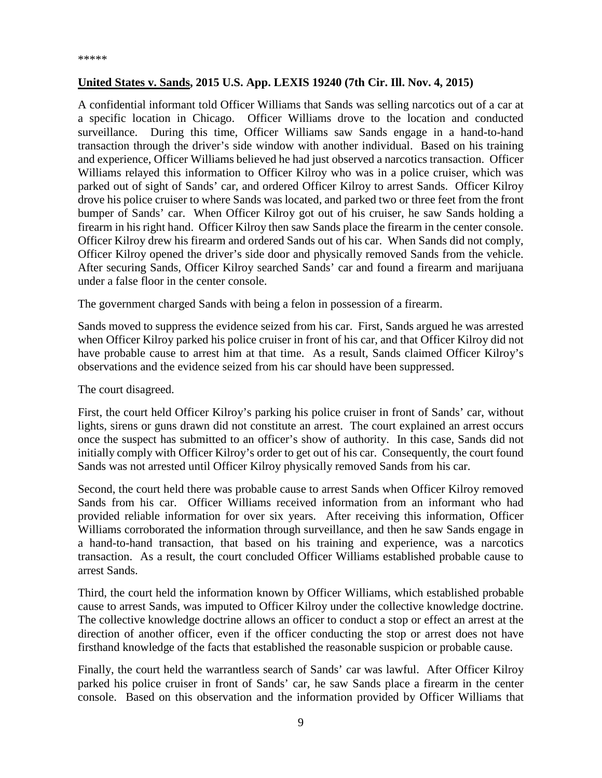#### <span id="page-8-0"></span>**United States v. Sands, 2015 U.S. App. LEXIS 19240 (7th Cir. Ill. Nov. 4, 2015)**

A confidential informant told Officer Williams that Sands was selling narcotics out of a car at a specific location in Chicago. Officer Williams drove to the location and conducted surveillance. During this time, Officer Williams saw Sands engage in a hand-to-hand transaction through the driver's side window with another individual. Based on his training and experience, Officer Williams believed he had just observed a narcotics transaction. Officer Williams relayed this information to Officer Kilroy who was in a police cruiser, which was parked out of sight of Sands' car, and ordered Officer Kilroy to arrest Sands. Officer Kilroy drove his police cruiser to where Sands was located, and parked two or three feet from the front bumper of Sands' car. When Officer Kilroy got out of his cruiser, he saw Sands holding a firearm in his right hand. Officer Kilroy then saw Sands place the firearm in the center console. Officer Kilroy drew his firearm and ordered Sands out of his car. When Sands did not comply, Officer Kilroy opened the driver's side door and physically removed Sands from the vehicle. After securing Sands, Officer Kilroy searched Sands' car and found a firearm and marijuana under a false floor in the center console.

The government charged Sands with being a felon in possession of a firearm.

Sands moved to suppress the evidence seized from his car. First, Sands argued he was arrested when Officer Kilroy parked his police cruiser in front of his car, and that Officer Kilroy did not have probable cause to arrest him at that time. As a result, Sands claimed Officer Kilroy's observations and the evidence seized from his car should have been suppressed.

The court disagreed.

First, the court held Officer Kilroy's parking his police cruiser in front of Sands' car, without lights, sirens or guns drawn did not constitute an arrest. The court explained an arrest occurs once the suspect has submitted to an officer's show of authority. In this case, Sands did not initially comply with Officer Kilroy's order to get out of his car. Consequently, the court found Sands was not arrested until Officer Kilroy physically removed Sands from his car.

Second, the court held there was probable cause to arrest Sands when Officer Kilroy removed Sands from his car. Officer Williams received information from an informant who had provided reliable information for over six years. After receiving this information, Officer Williams corroborated the information through surveillance, and then he saw Sands engage in a hand-to-hand transaction, that based on his training and experience, was a narcotics transaction. As a result, the court concluded Officer Williams established probable cause to arrest Sands.

Third, the court held the information known by Officer Williams, which established probable cause to arrest Sands, was imputed to Officer Kilroy under the collective knowledge doctrine. The collective knowledge doctrine allows an officer to conduct a stop or effect an arrest at the direction of another officer, even if the officer conducting the stop or arrest does not have firsthand knowledge of the facts that established the reasonable suspicion or probable cause.

Finally, the court held the warrantless search of Sands' car was lawful. After Officer Kilroy parked his police cruiser in front of Sands' car, he saw Sands place a firearm in the center console. Based on this observation and the information provided by Officer Williams that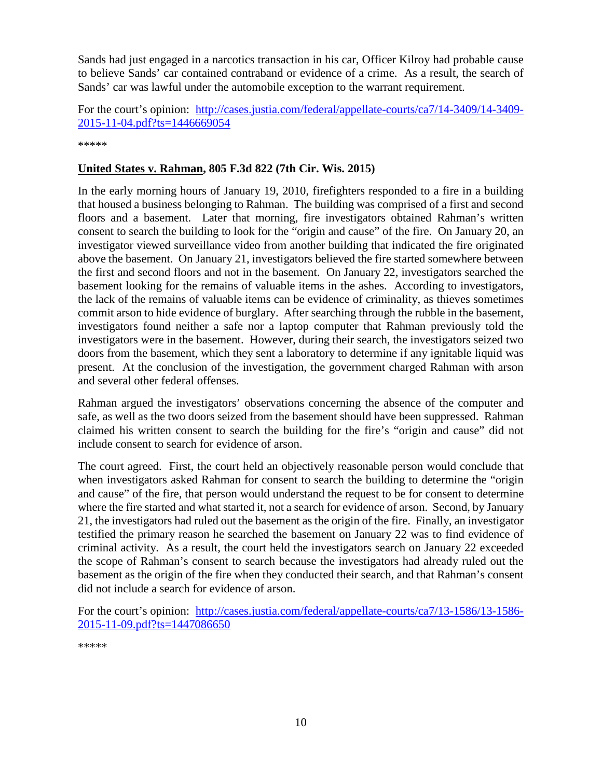Sands had just engaged in a narcotics transaction in his car, Officer Kilroy had probable cause to believe Sands' car contained contraband or evidence of a crime. As a result, the search of Sands' car was lawful under the automobile exception to the warrant requirement.

For the court's opinion: [http://cases.justia.com/federal/appellate-courts/ca7/14-3409/14-3409-](http://cases.justia.com/federal/appellate-courts/ca7/14-3409/14-3409-2015-11-04.pdf?ts=1446669054) [2015-11-04.pdf?ts=1446669054](http://cases.justia.com/federal/appellate-courts/ca7/14-3409/14-3409-2015-11-04.pdf?ts=1446669054)

\*\*\*\*\*

#### <span id="page-9-0"></span>**United States v. Rahman, 805 F.3d 822 (7th Cir. Wis. 2015)**

In the early morning hours of January 19, 2010, firefighters responded to a fire in a building that housed a business belonging to Rahman. The building was comprised of a first and second floors and a basement. Later that morning, fire investigators obtained Rahman's written consent to search the building to look for the "origin and cause" of the fire. On January 20, an investigator viewed surveillance video from another building that indicated the fire originated above the basement. On January 21, investigators believed the fire started somewhere between the first and second floors and not in the basement. On January 22, investigators searched the basement looking for the remains of valuable items in the ashes. According to investigators, the lack of the remains of valuable items can be evidence of criminality, as thieves sometimes commit arson to hide evidence of burglary. After searching through the rubble in the basement, investigators found neither a safe nor a laptop computer that Rahman previously told the investigators were in the basement. However, during their search, the investigators seized two doors from the basement, which they sent a laboratory to determine if any ignitable liquid was present. At the conclusion of the investigation, the government charged Rahman with arson and several other federal offenses.

Rahman argued the investigators' observations concerning the absence of the computer and safe, as well as the two doors seized from the basement should have been suppressed. Rahman claimed his written consent to search the building for the fire's "origin and cause" did not include consent to search for evidence of arson.

The court agreed. First, the court held an objectively reasonable person would conclude that when investigators asked Rahman for consent to search the building to determine the "origin and cause" of the fire, that person would understand the request to be for consent to determine where the fire started and what started it, not a search for evidence of arson. Second, by January 21, the investigators had ruled out the basement as the origin of the fire. Finally, an investigator testified the primary reason he searched the basement on January 22 was to find evidence of criminal activity. As a result, the court held the investigators search on January 22 exceeded the scope of Rahman's consent to search because the investigators had already ruled out the basement as the origin of the fire when they conducted their search, and that Rahman's consent did not include a search for evidence of arson.

<span id="page-9-1"></span>For the court's opinion: [http://cases.justia.com/federal/appellate-courts/ca7/13-1586/13-1586-](http://cases.justia.com/federal/appellate-courts/ca7/13-1586/13-1586-2015-11-09.pdf?ts=1447086650) [2015-11-09.pdf?ts=1447086650](http://cases.justia.com/federal/appellate-courts/ca7/13-1586/13-1586-2015-11-09.pdf?ts=1447086650)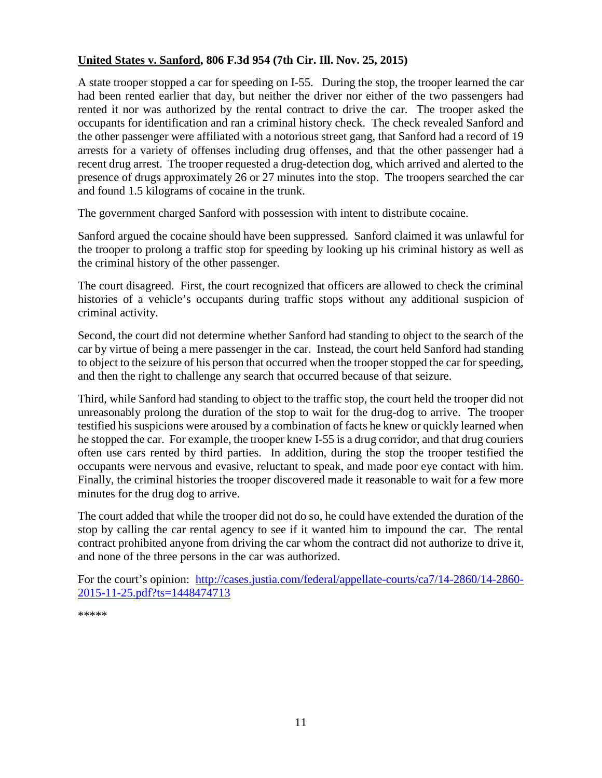#### **United States v. Sanford, 806 F.3d 954 (7th Cir. Ill. Nov. 25, 2015)**

A state trooper stopped a car for speeding on I-55. During the stop, the trooper learned the car had been rented earlier that day, but neither the driver nor either of the two passengers had rented it nor was authorized by the rental contract to drive the car. The trooper asked the occupants for identification and ran a criminal history check. The check revealed Sanford and the other passenger were affiliated with a notorious street gang, that Sanford had a record of 19 arrests for a variety of offenses including drug offenses, and that the other passenger had a recent drug arrest. The trooper requested a drug-detection dog, which arrived and alerted to the presence of drugs approximately 26 or 27 minutes into the stop. The troopers searched the car and found 1.5 kilograms of cocaine in the trunk.

The government charged Sanford with possession with intent to distribute cocaine.

Sanford argued the cocaine should have been suppressed. Sanford claimed it was unlawful for the trooper to prolong a traffic stop for speeding by looking up his criminal history as well as the criminal history of the other passenger.

The court disagreed. First, the court recognized that officers are allowed to check the criminal histories of a vehicle's occupants during traffic stops without any additional suspicion of criminal activity.

Second, the court did not determine whether Sanford had standing to object to the search of the car by virtue of being a mere passenger in the car. Instead, the court held Sanford had standing to object to the seizure of his person that occurred when the trooper stopped the car for speeding, and then the right to challenge any search that occurred because of that seizure.

Third, while Sanford had standing to object to the traffic stop, the court held the trooper did not unreasonably prolong the duration of the stop to wait for the drug-dog to arrive. The trooper testified his suspicions were aroused by a combination of facts he knew or quickly learned when he stopped the car. For example, the trooper knew I-55 is a drug corridor, and that drug couriers often use cars rented by third parties. In addition, during the stop the trooper testified the occupants were nervous and evasive, reluctant to speak, and made poor eye contact with him. Finally, the criminal histories the trooper discovered made it reasonable to wait for a few more minutes for the drug dog to arrive.

The court added that while the trooper did not do so, he could have extended the duration of the stop by calling the car rental agency to see if it wanted him to impound the car. The rental contract prohibited anyone from driving the car whom the contract did not authorize to drive it, and none of the three persons in the car was authorized.

For the court's opinion: [http://cases.justia.com/federal/appellate-courts/ca7/14-2860/14-2860-](http://cases.justia.com/federal/appellate-courts/ca7/14-2860/14-2860-2015-11-25.pdf?ts=1448474713) [2015-11-25.pdf?ts=1448474713](http://cases.justia.com/federal/appellate-courts/ca7/14-2860/14-2860-2015-11-25.pdf?ts=1448474713)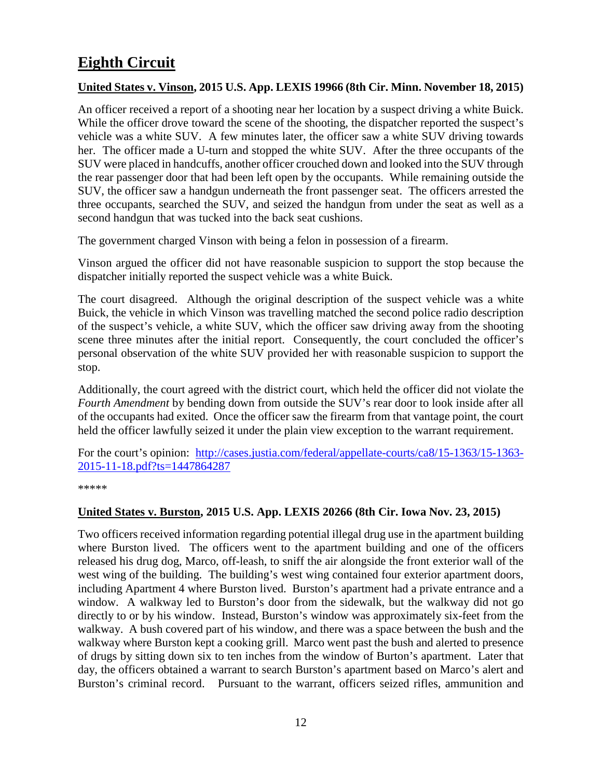## <span id="page-11-0"></span>**Eighth Circuit**

#### <span id="page-11-1"></span>**United States v. Vinson, 2015 U.S. App. LEXIS 19966 (8th Cir. Minn. November 18, 2015)**

An officer received a report of a shooting near her location by a suspect driving a white Buick. While the officer drove toward the scene of the shooting, the dispatcher reported the suspect's vehicle was a white SUV. A few minutes later, the officer saw a white SUV driving towards her. The officer made a U-turn and stopped the white SUV. After the three occupants of the SUV were placed in handcuffs, another officer crouched down and looked into the SUV through the rear passenger door that had been left open by the occupants. While remaining outside the SUV, the officer saw a handgun underneath the front passenger seat. The officers arrested the three occupants, searched the SUV, and seized the handgun from under the seat as well as a second handgun that was tucked into the back seat cushions.

The government charged Vinson with being a felon in possession of a firearm.

Vinson argued the officer did not have reasonable suspicion to support the stop because the dispatcher initially reported the suspect vehicle was a white Buick.

The court disagreed. Although the original description of the suspect vehicle was a white Buick, the vehicle in which Vinson was travelling matched the second police radio description of the suspect's vehicle, a white SUV, which the officer saw driving away from the shooting scene three minutes after the initial report. Consequently, the court concluded the officer's personal observation of the white SUV provided her with reasonable suspicion to support the stop.

Additionally, the court agreed with the district court, which held the officer did not violate the *Fourth Amendment* by bending down from outside the SUV's rear door to look inside after all of the occupants had exited. Once the officer saw the firearm from that vantage point, the court held the officer lawfully seized it under the plain view exception to the warrant requirement.

For the court's opinion: [http://cases.justia.com/federal/appellate-courts/ca8/15-1363/15-1363-](http://cases.justia.com/federal/appellate-courts/ca8/15-1363/15-1363-2015-11-18.pdf?ts=1447864287) [2015-11-18.pdf?ts=1447864287](http://cases.justia.com/federal/appellate-courts/ca8/15-1363/15-1363-2015-11-18.pdf?ts=1447864287)

\*\*\*\*\*

#### <span id="page-11-2"></span>**United States v. Burston, 2015 U.S. App. LEXIS 20266 (8th Cir. Iowa Nov. 23, 2015)**

Two officers received information regarding potential illegal drug use in the apartment building where Burston lived. The officers went to the apartment building and one of the officers released his drug dog, Marco, off-leash, to sniff the air alongside the front exterior wall of the west wing of the building. The building's west wing contained four exterior apartment doors, including Apartment 4 where Burston lived. Burston's apartment had a private entrance and a window. A walkway led to Burston's door from the sidewalk, but the walkway did not go directly to or by his window. Instead, Burston's window was approximately six-feet from the walkway. A bush covered part of his window, and there was a space between the bush and the walkway where Burston kept a cooking grill. Marco went past the bush and alerted to presence of drugs by sitting down six to ten inches from the window of Burton's apartment. Later that day, the officers obtained a warrant to search Burston's apartment based on Marco's alert and Burston's criminal record. Pursuant to the warrant, officers seized rifles, ammunition and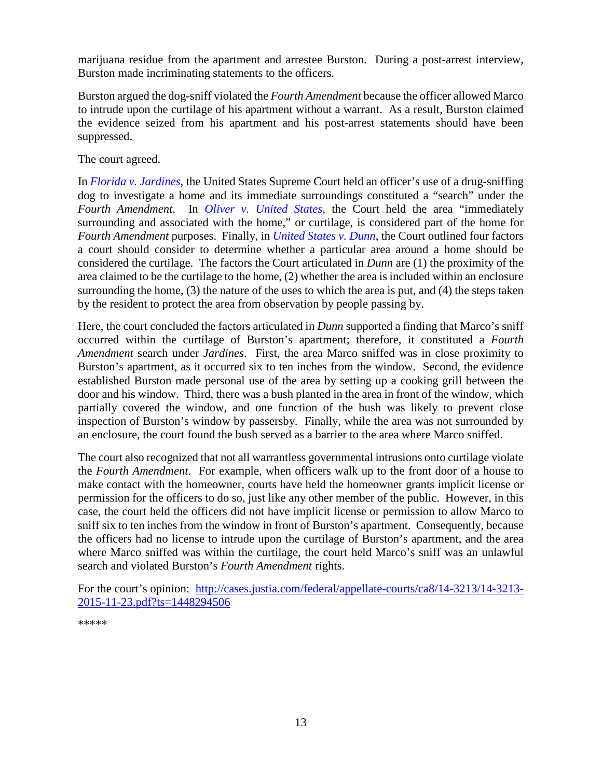marijuana residue from the apartment and arrestee Burston. During a post-arrest interview, Burston made incriminating statements to the officers.

Burston argued the dog-sniff violated the *Fourth Amendment* because the officer allowed Marco to intrude upon the curtilage of his apartment without a warrant. As a result, Burston claimed the evidence seized from his apartment and his post-arrest statements should have been suppressed.

The court agreed.

In *[Florida v. Jardines](http://www.supremecourt.gov/opinions/12pdf/11-564_5426.pdf)*, the United States Supreme Court held an officer's use of a drug-sniffing dog to investigate a home and its immediate surroundings constituted a "search" under the *Fourth Amendment*. In *[Oliver v. United States](https://www.law.cornell.edu/supremecourt/text/466/170)*, the Court held the area "immediately surrounding and associated with the home," or curtilage, is considered part of the home for *Fourth Amendment* purposes. Finally, in *[United States v. Dunn](http://caselaw.findlaw.com/us-supreme-court/480/294.html)*, the Court outlined four factors a court should consider to determine whether a particular area around a home should be considered the curtilage. The factors the Court articulated in *Dunn* are (1) the proximity of the area claimed to be the curtilage to the home, (2) whether the area is included within an enclosure surrounding the home, (3) the nature of the uses to which the area is put, and (4) the steps taken by the resident to protect the area from observation by people passing by.

Here, the court concluded the factors articulated in *Dunn* supported a finding that Marco's sniff occurred within the curtilage of Burston's apartment; therefore, it constituted a *Fourth Amendment* search under *Jardines*. First, the area Marco sniffed was in close proximity to Burston's apartment, as it occurred six to ten inches from the window. Second, the evidence established Burston made personal use of the area by setting up a cooking grill between the door and his window. Third, there was a bush planted in the area in front of the window, which partially covered the window, and one function of the bush was likely to prevent close inspection of Burston's window by passersby. Finally, while the area was not surrounded by an enclosure, the court found the bush served as a barrier to the area where Marco sniffed.

The court also recognized that not all warrantless governmental intrusions onto curtilage violate the *Fourth Amendment*. For example, when officers walk up to the front door of a house to make contact with the homeowner, courts have held the homeowner grants implicit license or permission for the officers to do so, just like any other member of the public. However, in this case, the court held the officers did not have implicit license or permission to allow Marco to sniff six to ten inches from the window in front of Burston's apartment. Consequently, because the officers had no license to intrude upon the curtilage of Burston's apartment, and the area where Marco sniffed was within the curtilage, the court held Marco's sniff was an unlawful search and violated Burston's *Fourth Amendment* rights.

For the court's opinion: [http://cases.justia.com/federal/appellate-courts/ca8/14-3213/14-3213-](http://cases.justia.com/federal/appellate-courts/ca8/14-3213/14-3213-2015-11-23.pdf?ts=1448294506) [2015-11-23.pdf?ts=1448294506](http://cases.justia.com/federal/appellate-courts/ca8/14-3213/14-3213-2015-11-23.pdf?ts=1448294506)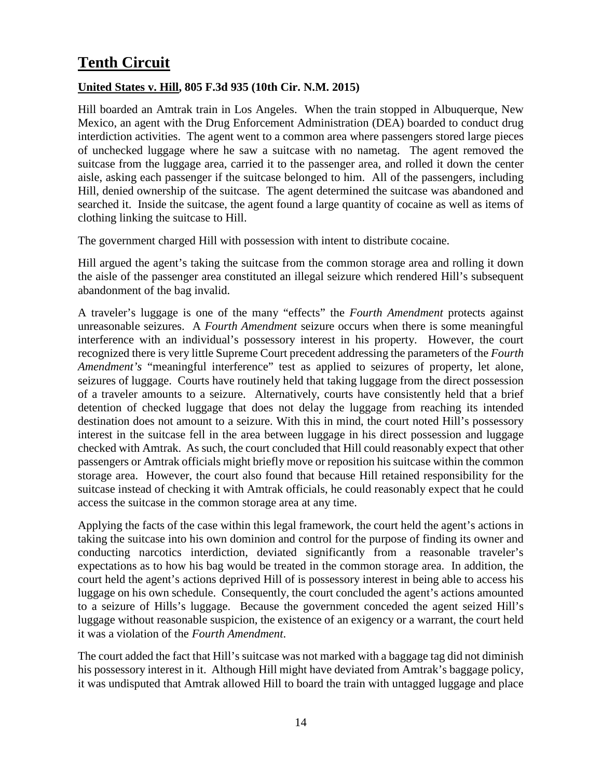## <span id="page-13-0"></span>**Tenth Circuit**

#### <span id="page-13-1"></span>**United States v. Hill, 805 F.3d 935 (10th Cir. N.M. 2015)**

Hill boarded an Amtrak train in Los Angeles. When the train stopped in Albuquerque, New Mexico, an agent with the Drug Enforcement Administration (DEA) boarded to conduct drug interdiction activities. The agent went to a common area where passengers stored large pieces of unchecked luggage where he saw a suitcase with no nametag. The agent removed the suitcase from the luggage area, carried it to the passenger area, and rolled it down the center aisle, asking each passenger if the suitcase belonged to him. All of the passengers, including Hill, denied ownership of the suitcase. The agent determined the suitcase was abandoned and searched it. Inside the suitcase, the agent found a large quantity of cocaine as well as items of clothing linking the suitcase to Hill.

The government charged Hill with possession with intent to distribute cocaine.

Hill argued the agent's taking the suitcase from the common storage area and rolling it down the aisle of the passenger area constituted an illegal seizure which rendered Hill's subsequent abandonment of the bag invalid.

A traveler's luggage is one of the many "effects" the *Fourth Amendment* protects against unreasonable seizures. A *Fourth Amendment* seizure occurs when there is some meaningful interference with an individual's possessory interest in his property. However, the court recognized there is very little Supreme Court precedent addressing the parameters of the *Fourth Amendment's* "meaningful interference" test as applied to seizures of property, let alone, seizures of luggage. Courts have routinely held that taking luggage from the direct possession of a traveler amounts to a seizure. Alternatively, courts have consistently held that a brief detention of checked luggage that does not delay the luggage from reaching its intended destination does not amount to a seizure. With this in mind, the court noted Hill's possessory interest in the suitcase fell in the area between luggage in his direct possession and luggage checked with Amtrak. As such, the court concluded that Hill could reasonably expect that other passengers or Amtrak officials might briefly move or reposition his suitcase within the common storage area. However, the court also found that because Hill retained responsibility for the suitcase instead of checking it with Amtrak officials, he could reasonably expect that he could access the suitcase in the common storage area at any time.

Applying the facts of the case within this legal framework, the court held the agent's actions in taking the suitcase into his own dominion and control for the purpose of finding its owner and conducting narcotics interdiction, deviated significantly from a reasonable traveler's expectations as to how his bag would be treated in the common storage area. In addition, the court held the agent's actions deprived Hill of is possessory interest in being able to access his luggage on his own schedule. Consequently, the court concluded the agent's actions amounted to a seizure of Hills's luggage. Because the government conceded the agent seized Hill's luggage without reasonable suspicion, the existence of an exigency or a warrant, the court held it was a violation of the *Fourth Amendment*.

The court added the fact that Hill's suitcase was not marked with a baggage tag did not diminish his possessory interest in it. Although Hill might have deviated from Amtrak's baggage policy, it was undisputed that Amtrak allowed Hill to board the train with untagged luggage and place